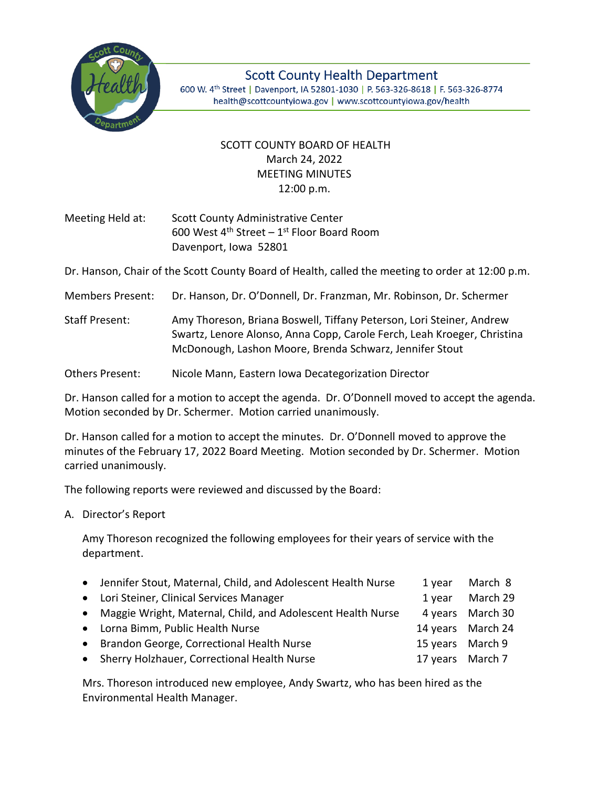

**Scott County Health Department** 600 W. 4th Street | Davenport, IA 52801-1030 | P. 563-326-8618 | F. 563-326-8774 health@scottcountyiowa.gov | www.scottcountyiowa.gov/health

## SCOTT COUNTY BOARD OF HEALTH March 24, 2022 MEETING MINUTES 12:00 p.m.

Meeting Held at: Scott County Administrative Center 600 West  $4^{\text{th}}$  Street – 1st Floor Board Room Davenport, Iowa 52801

Dr. Hanson, Chair of the Scott County Board of Health, called the meeting to order at 12:00 p.m.

Members Present: Dr. Hanson, Dr. O'Donnell, Dr. Franzman, Mr. Robinson, Dr. Schermer

Staff Present: Amy Thoreson, Briana Boswell, Tiffany Peterson, Lori Steiner, Andrew Swartz, Lenore Alonso, Anna Copp, Carole Ferch, Leah Kroeger, Christina McDonough, Lashon Moore, Brenda Schwarz, Jennifer Stout

Others Present: Nicole Mann, Eastern Iowa Decategorization Director

Dr. Hanson called for a motion to accept the agenda. Dr. O'Donnell moved to accept the agenda. Motion seconded by Dr. Schermer. Motion carried unanimously.

Dr. Hanson called for a motion to accept the minutes. Dr. O'Donnell moved to approve the minutes of the February 17, 2022 Board Meeting. Motion seconded by Dr. Schermer. Motion carried unanimously.

The following reports were reviewed and discussed by the Board:

A. Director's Report

Amy Thoreson recognized the following employees for their years of service with the department.

| • Jennifer Stout, Maternal, Child, and Adolescent Health Nurse | 1 year           | March 8           |
|----------------------------------------------------------------|------------------|-------------------|
| • Lori Steiner, Clinical Services Manager                      | 1 year           | March 29          |
| • Maggie Wright, Maternal, Child, and Adolescent Health Nurse  |                  | 4 years March 30  |
| • Lorna Bimm, Public Health Nurse                              |                  | 14 years March 24 |
| • Brandon George, Correctional Health Nurse                    | 15 years March 9 |                   |
| • Sherry Holzhauer, Correctional Health Nurse                  | 17 years March 7 |                   |

Mrs. Thoreson introduced new employee, Andy Swartz, who has been hired as the Environmental Health Manager.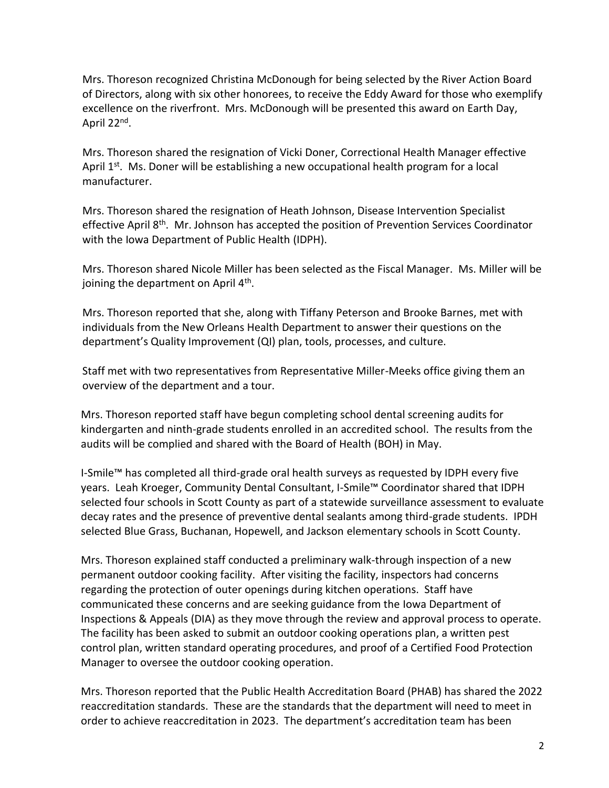Mrs. Thoreson recognized Christina McDonough for being selected by the River Action Board of Directors, along with six other honorees, to receive the Eddy Award for those who exemplify excellence on the riverfront. Mrs. McDonough will be presented this award on Earth Day, April 22<sup>nd</sup>.

Mrs. Thoreson shared the resignation of Vicki Doner, Correctional Health Manager effective April  $1<sup>st</sup>$ . Ms. Doner will be establishing a new occupational health program for a local manufacturer.

Mrs. Thoreson shared the resignation of Heath Johnson, Disease Intervention Specialist effective April  $8<sup>th</sup>$ . Mr. Johnson has accepted the position of Prevention Services Coordinator with the Iowa Department of Public Health (IDPH).

Mrs. Thoreson shared Nicole Miller has been selected as the Fiscal Manager. Ms. Miller will be joining the department on April 4<sup>th</sup>.

Mrs. Thoreson reported that she, along with Tiffany Peterson and Brooke Barnes, met with individuals from the New Orleans Health Department to answer their questions on the department's Quality Improvement (QI) plan, tools, processes, and culture.

Staff met with two representatives from Representative Miller-Meeks office giving them an overview of the department and a tour.

Mrs. Thoreson reported staff have begun completing school dental screening audits for kindergarten and ninth-grade students enrolled in an accredited school. The results from the audits will be complied and shared with the Board of Health (BOH) in May.

I-Smile™ has completed all third-grade oral health surveys as requested by IDPH every five years. Leah Kroeger, Community Dental Consultant, I-Smile™ Coordinator shared that IDPH selected four schools in Scott County as part of a statewide surveillance assessment to evaluate decay rates and the presence of preventive dental sealants among third-grade students. IPDH selected Blue Grass, Buchanan, Hopewell, and Jackson elementary schools in Scott County.

Mrs. Thoreson explained staff conducted a preliminary walk-through inspection of a new permanent outdoor cooking facility. After visiting the facility, inspectors had concerns regarding the protection of outer openings during kitchen operations. Staff have communicated these concerns and are seeking guidance from the Iowa Department of Inspections & Appeals (DIA) as they move through the review and approval process to operate. The facility has been asked to submit an outdoor cooking operations plan, a written pest control plan, written standard operating procedures, and proof of a Certified Food Protection Manager to oversee the outdoor cooking operation.

Mrs. Thoreson reported that the Public Health Accreditation Board (PHAB) has shared the 2022 reaccreditation standards. These are the standards that the department will need to meet in order to achieve reaccreditation in 2023. The department's accreditation team has been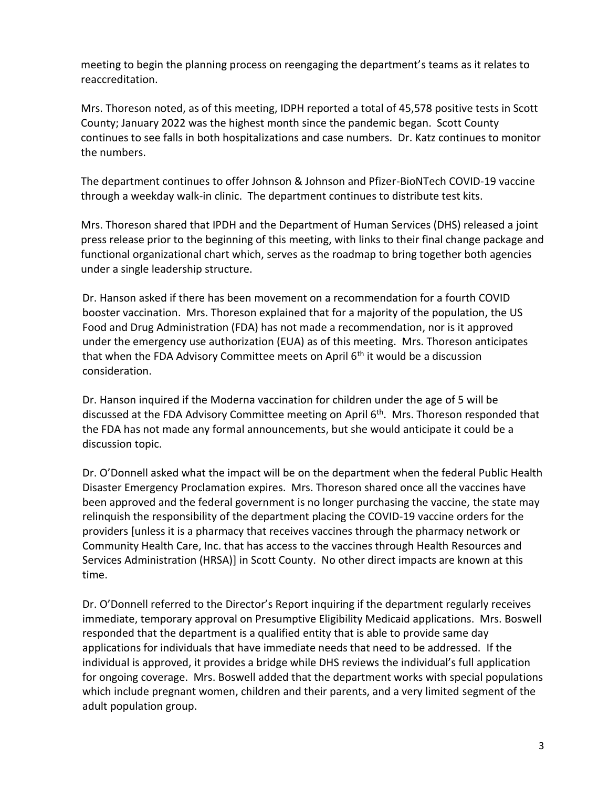meeting to begin the planning process on reengaging the department's teams as it relates to reaccreditation.

Mrs. Thoreson noted, as of this meeting, IDPH reported a total of 45,578 positive tests in Scott County; January 2022 was the highest month since the pandemic began. Scott County continues to see falls in both hospitalizations and case numbers. Dr. Katz continues to monitor the numbers.

The department continues to offer Johnson & Johnson and Pfizer-BioNTech COVID-19 vaccine through a weekday walk-in clinic. The department continues to distribute test kits.

Mrs. Thoreson shared that IPDH and the Department of Human Services (DHS) released a joint press release prior to the beginning of this meeting, with links to their final change package and functional organizational chart which, serves as the roadmap to bring together both agencies under a single leadership structure.

Dr. Hanson asked if there has been movement on a recommendation for a fourth COVID booster vaccination. Mrs. Thoreson explained that for a majority of the population, the US Food and Drug Administration (FDA) has not made a recommendation, nor is it approved under the emergency use authorization (EUA) as of this meeting. Mrs. Thoreson anticipates that when the FDA Advisory Committee meets on April 6<sup>th</sup> it would be a discussion consideration.

Dr. Hanson inquired if the Moderna vaccination for children under the age of 5 will be discussed at the FDA Advisory Committee meeting on April 6<sup>th</sup>. Mrs. Thoreson responded that the FDA has not made any formal announcements, but she would anticipate it could be a discussion topic.

Dr. O'Donnell asked what the impact will be on the department when the federal Public Health Disaster Emergency Proclamation expires. Mrs. Thoreson shared once all the vaccines have been approved and the federal government is no longer purchasing the vaccine, the state may relinquish the responsibility of the department placing the COVID-19 vaccine orders for the providers [unless it is a pharmacy that receives vaccines through the pharmacy network or Community Health Care, Inc. that has access to the vaccines through Health Resources and Services Administration (HRSA)] in Scott County. No other direct impacts are known at this time.

Dr. O'Donnell referred to the Director's Report inquiring if the department regularly receives immediate, temporary approval on Presumptive Eligibility Medicaid applications. Mrs. Boswell responded that the department is a qualified entity that is able to provide same day applications for individuals that have immediate needs that need to be addressed. If the individual is approved, it provides a bridge while DHS reviews the individual's full application for ongoing coverage. Mrs. Boswell added that the department works with special populations which include pregnant women, children and their parents, and a very limited segment of the adult population group.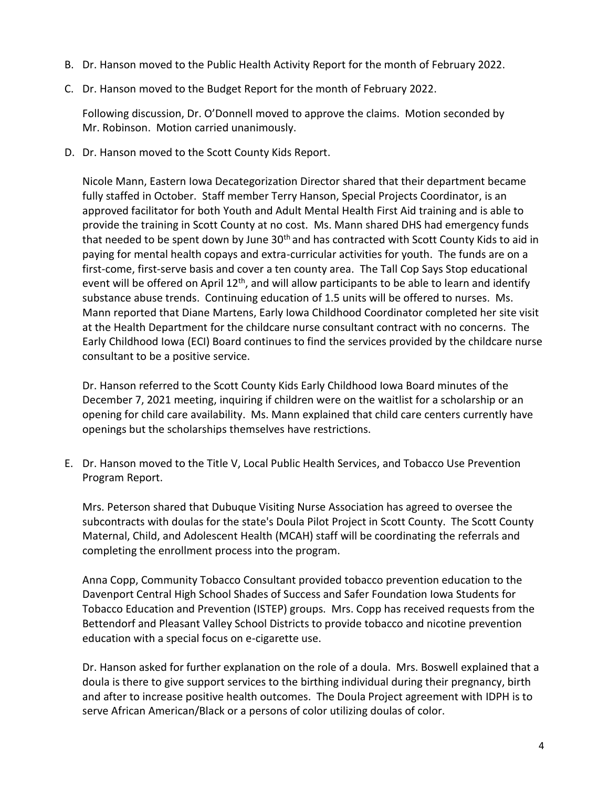- B. Dr. Hanson moved to the Public Health Activity Report for the month of February 2022.
- C. Dr. Hanson moved to the Budget Report for the month of February 2022.

Following discussion, Dr. O'Donnell moved to approve the claims. Motion seconded by Mr. Robinson. Motion carried unanimously.

D. Dr. Hanson moved to the Scott County Kids Report.

Nicole Mann, Eastern Iowa Decategorization Director shared that their department became fully staffed in October. Staff member Terry Hanson, Special Projects Coordinator, is an approved facilitator for both Youth and Adult Mental Health First Aid training and is able to provide the training in Scott County at no cost. Ms. Mann shared DHS had emergency funds that needed to be spent down by June  $30<sup>th</sup>$  and has contracted with Scott County Kids to aid in paying for mental health copays and extra-curricular activities for youth. The funds are on a first-come, first-serve basis and cover a ten county area. The Tall Cop Says Stop educational event will be offered on April 12<sup>th</sup>, and will allow participants to be able to learn and identify substance abuse trends. Continuing education of 1.5 units will be offered to nurses. Ms. Mann reported that Diane Martens, Early Iowa Childhood Coordinator completed her site visit at the Health Department for the childcare nurse consultant contract with no concerns. The Early Childhood Iowa (ECI) Board continues to find the services provided by the childcare nurse consultant to be a positive service.

Dr. Hanson referred to the Scott County Kids Early Childhood Iowa Board minutes of the December 7, 2021 meeting, inquiring if children were on the waitlist for a scholarship or an opening for child care availability. Ms. Mann explained that child care centers currently have openings but the scholarships themselves have restrictions.

E. Dr. Hanson moved to the Title V, Local Public Health Services, and Tobacco Use Prevention Program Report.

Mrs. Peterson shared that Dubuque Visiting Nurse Association has agreed to oversee the subcontracts with doulas for the state's Doula Pilot Project in Scott County. The Scott County Maternal, Child, and Adolescent Health (MCAH) staff will be coordinating the referrals and completing the enrollment process into the program.

Anna Copp, Community Tobacco Consultant provided tobacco prevention education to the Davenport Central High School Shades of Success and Safer Foundation Iowa Students for Tobacco Education and Prevention (ISTEP) groups. Mrs. Copp has received requests from the Bettendorf and Pleasant Valley School Districts to provide tobacco and nicotine prevention education with a special focus on e-cigarette use.

Dr. Hanson asked for further explanation on the role of a doula. Mrs. Boswell explained that a doula is there to give support services to the birthing individual during their pregnancy, birth and after to increase positive health outcomes. The Doula Project agreement with IDPH is to serve African American/Black or a persons of color utilizing doulas of color.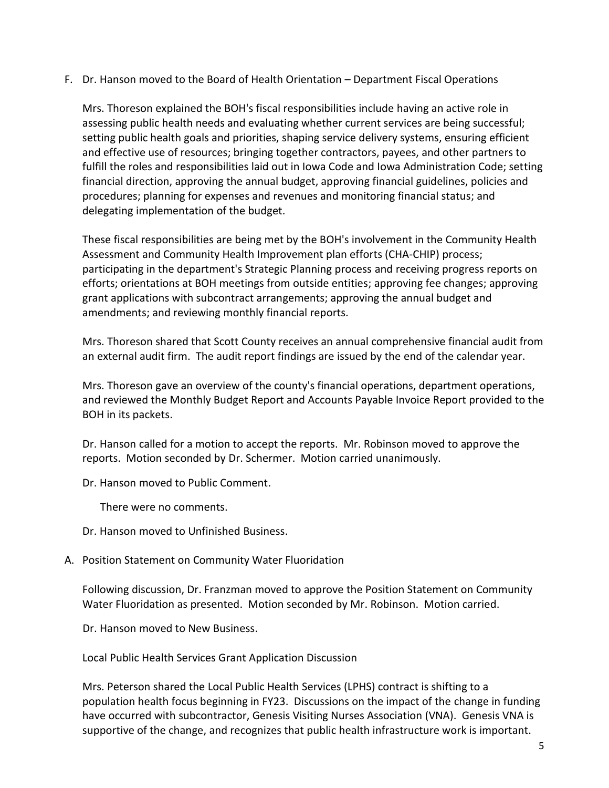F. Dr. Hanson moved to the Board of Health Orientation – Department Fiscal Operations

Mrs. Thoreson explained the BOH's fiscal responsibilities include having an active role in assessing public health needs and evaluating whether current services are being successful; setting public health goals and priorities, shaping service delivery systems, ensuring efficient and effective use of resources; bringing together contractors, payees, and other partners to fulfill the roles and responsibilities laid out in Iowa Code and Iowa Administration Code; setting financial direction, approving the annual budget, approving financial guidelines, policies and procedures; planning for expenses and revenues and monitoring financial status; and delegating implementation of the budget.

These fiscal responsibilities are being met by the BOH's involvement in the Community Health Assessment and Community Health Improvement plan efforts (CHA-CHIP) process; participating in the department's Strategic Planning process and receiving progress reports on efforts; orientations at BOH meetings from outside entities; approving fee changes; approving grant applications with subcontract arrangements; approving the annual budget and amendments; and reviewing monthly financial reports.

Mrs. Thoreson shared that Scott County receives an annual comprehensive financial audit from an external audit firm. The audit report findings are issued by the end of the calendar year.

Mrs. Thoreson gave an overview of the county's financial operations, department operations, and reviewed the Monthly Budget Report and Accounts Payable Invoice Report provided to the BOH in its packets.

Dr. Hanson called for a motion to accept the reports. Mr. Robinson moved to approve the reports. Motion seconded by Dr. Schermer. Motion carried unanimously.

Dr. Hanson moved to Public Comment.

There were no comments.

- Dr. Hanson moved to Unfinished Business.
- A. Position Statement on Community Water Fluoridation

Following discussion, Dr. Franzman moved to approve the Position Statement on Community Water Fluoridation as presented. Motion seconded by Mr. Robinson. Motion carried.

Dr. Hanson moved to New Business.

Local Public Health Services Grant Application Discussion

Mrs. Peterson shared the Local Public Health Services (LPHS) contract is shifting to a population health focus beginning in FY23. Discussions on the impact of the change in funding have occurred with subcontractor, Genesis Visiting Nurses Association (VNA). Genesis VNA is supportive of the change, and recognizes that public health infrastructure work is important.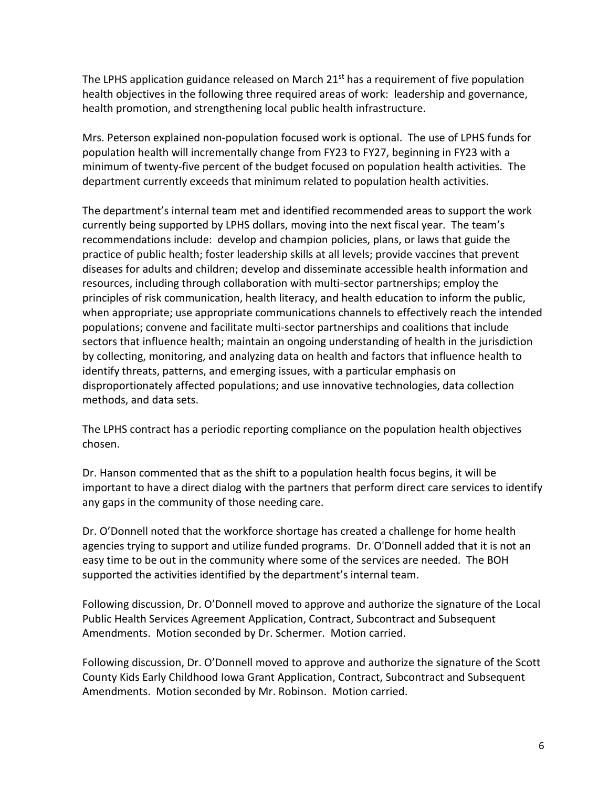The LPHS application guidance released on March  $21<sup>st</sup>$  has a requirement of five population health objectives in the following three required areas of work: leadership and governance, health promotion, and strengthening local public health infrastructure.

Mrs. Peterson explained non-population focused work is optional. The use of LPHS funds for population health will incrementally change from FY23 to FY27, beginning in FY23 with a minimum of twenty-five percent of the budget focused on population health activities. The department currently exceeds that minimum related to population health activities.

The department's internal team met and identified recommended areas to support the work currently being supported by LPHS dollars, moving into the next fiscal year. The team's recommendations include: develop and champion policies, plans, or laws that guide the practice of public health; foster leadership skills at all levels; provide vaccines that prevent diseases for adults and children; develop and disseminate accessible health information and resources, including through collaboration with multi-sector partnerships; employ the principles of risk communication, health literacy, and health education to inform the public, when appropriate; use appropriate communications channels to effectively reach the intended populations; convene and facilitate multi-sector partnerships and coalitions that include sectors that influence health; maintain an ongoing understanding of health in the jurisdiction by collecting, monitoring, and analyzing data on health and factors that influence health to identify threats, patterns, and emerging issues, with a particular emphasis on disproportionately affected populations; and use innovative technologies, data collection methods, and data sets.

The LPHS contract has a periodic reporting compliance on the population health objectives chosen.

Dr. Hanson commented that as the shift to a population health focus begins, it will be important to have a direct dialog with the partners that perform direct care services to identify any gaps in the community of those needing care.

Dr. O'Donnell noted that the workforce shortage has created a challenge for home health agencies trying to support and utilize funded programs. Dr. O'Donnell added that it is not an easy time to be out in the community where some of the services are needed. The BOH supported the activities identified by the department's internal team.

Following discussion, Dr. O'Donnell moved to approve and authorize the signature of the Local Public Health Services Agreement Application, Contract, Subcontract and Subsequent Amendments. Motion seconded by Dr. Schermer. Motion carried.

Following discussion, Dr. O'Donnell moved to approve and authorize the signature of the Scott County Kids Early Childhood Iowa Grant Application, Contract, Subcontract and Subsequent Amendments. Motion seconded by Mr. Robinson. Motion carried.